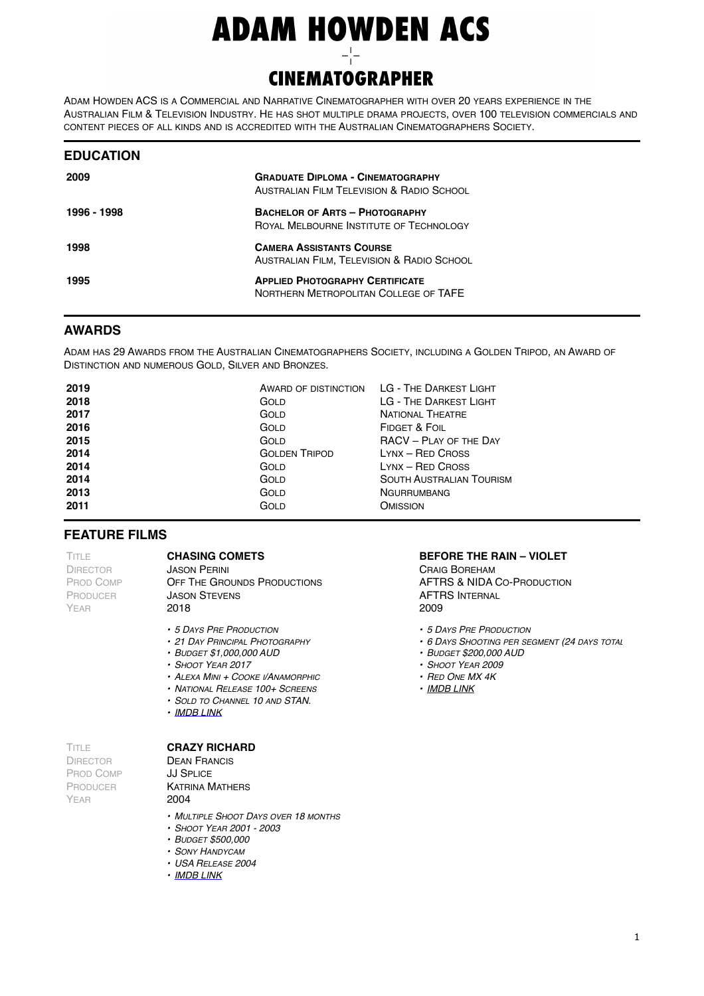# **ADAM HOWDEN ACS**

## **CINEMATOGRAPHER**

ADAM HOWDEN ACS IS A COMMERCIAL AND NARRATIVE CINEMATOGRAPHER WITH OVER 20 YEARS EXPERIENCE IN THE AUSTRALIAN FILM & TELEVISION INDUSTRY. HE HAS SHOT MULTIPLE DRAMA PROJECTS, OVER 100 TELEVISION COMMERCIALS AND CONTENT PIECES OF ALL KINDS AND IS ACCREDITED WITH THE AUSTRALIAN CINEMATOGRAPHERS SOCIETY.

| <b>EDUCATION</b> |                                                                                                  |
|------------------|--------------------------------------------------------------------------------------------------|
| 2009             | <b>GRADUATE DIPLOMA - CINEMATOGRAPHY</b><br><b>AUSTRALIAN FILM TELEVISION &amp; RADIO SCHOOL</b> |
| 1996 - 1998      | <b>BACHELOR OF ARTS - PHOTOGRAPHY</b><br>ROYAL MELBOURNE INSTITUTE OF TECHNOLOGY                 |
| 1998             | <b>CAMERA ASSISTANTS COURSE</b><br>AUSTRALIAN FILM, TELEVISION & RADIO SCHOOL                    |
| 1995             | <b>APPLIED PHOTOGRAPHY CERTIFICATE</b><br>NORTHERN METROPOLITAN COLLEGE OF TAFE                  |

## **AWARDS**

ADAM HAS 29 AWARDS FROM THE AUSTRALIAN CINEMATOGRAPHERS SOCIETY, INCLUDING A GOLDEN TRIPOD, AN AWARD OF DISTINCTION AND NUMEROUS GOLD, SILVER AND BRONZES.

| 2019<br>2018<br>2017<br>2016 | GOLD<br>GOLD<br>GOLD | AWARD OF DISTINCTION LG - THE DARKEST LIGHT<br>LG - THE DARKEST LIGHT<br><b>NATIONAL THEATRE</b><br>FIDGET & FOIL |
|------------------------------|----------------------|-------------------------------------------------------------------------------------------------------------------|
| 2015                         | GOLD                 | RACV - PLAY OF THE DAY                                                                                            |
| 2014                         | <b>GOLDEN TRIPOD</b> | $LYNX - RED$ Cross                                                                                                |
| 2014                         | GOLD                 | <b>LYNX - RED CROSS</b>                                                                                           |
| 2014                         | GOLD                 | <b>SOUTH AUSTRALIAN TOURISM</b>                                                                                   |
| 2013                         | GOLD                 | <b>NGURRUMBANG</b>                                                                                                |
| 2011                         | GOLD                 | <b>OMISSION</b>                                                                                                   |

## **FEATURE FILMS**

TITLE DIRECTOR PROD COMP PRODUCER YEAR

**CHASING COMETS** JASON PERINI OFF THE GROUNDS PRODUCTIONS JASON STEVENS 2018

- *• 5 DAYS PRE PRODUCTION*
- *• 21 DAY PRINCIPAL PHOTOGRAPHY*
- *• BUDGET \$1,000,000 AUD*
- *• SHOOT YEAR 2017*
- *• ALEXA MINI + COOKE I/ANAMORPHIC*
- *• NATIONAL RELEASE 100+ SCREENS*
- *• SOLD TO CHANNEL 10 AND STAN.*
- *• [IMDB LINK](https://www.imdb.com/title/tt6840280/?ref_=nv_sr_srsg_0)*

## **CRAZY RICHARD**

TITLE DIRECTOR PROD COMP PRODUCER YEAR

DEAN FRANCIS JJ SPLICE KATRINA MATHERS 2004

- *• MULTIPLE SHOOT DAYS OVER 18 MONTHS*
- *• SHOOT YEAR 2001 2003*
- *• BUDGET \$500,000*
- *• SONY HANDYCAM*
- *• USA RELEASE 2004*
- *• [IMDB LINK](https://www.imdb.com/title/tt0400327/?ref_=nv_sr_srsg_1)*

## **BEFORE THE RAIN – VIOLET**

CRAIG BOREHAM AFTRS & NIDA CO-PRODUCTION AFTRS INTERNAL 2009

- *• 5 DAYS PRE PRODUCTION*
- *• 6 DAYS SHOOTING PER SEGMENT (24 DAYS TOTAL)*
- *• BUDGET \$200,000 AUD*
- *• SHOOT YEAR 2009*
- *• RED ONE MX 4K*
- *• [IMDB LINK](https://www.imdb.com/title/tt1666154/?ref_=nv_sr_srsg_4)*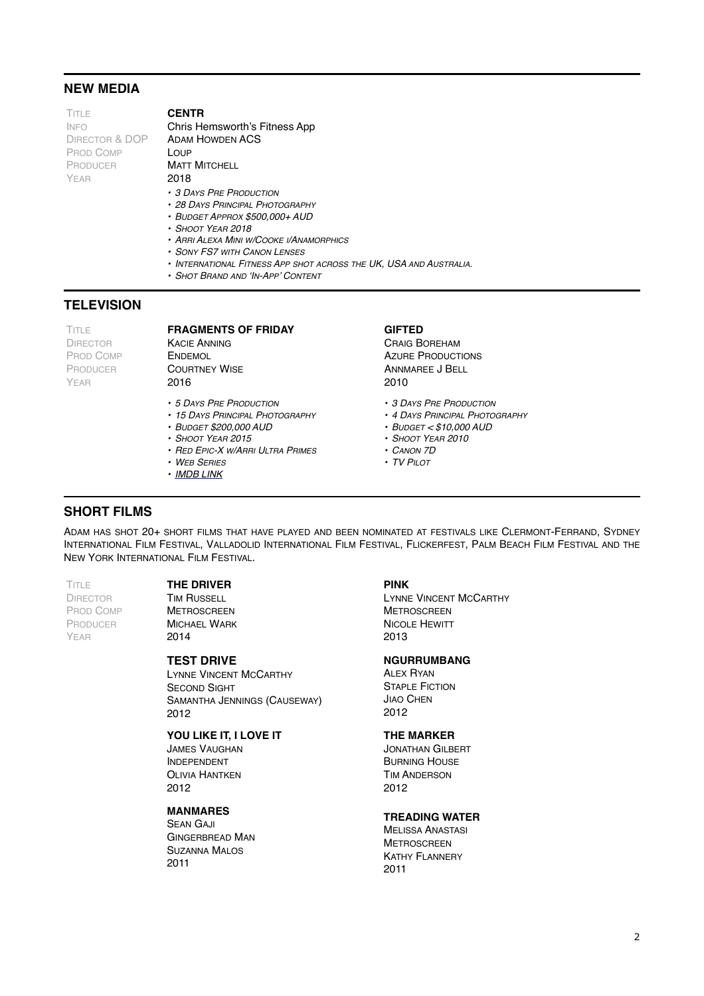## **NEW MEDIA**

**TITLE** INFO DIRECTOR & DOP PROD COMP PRODUCER YEAR

## **CENTR**

Chris Hemsworth's Fitness App ADAM HOWDEN ACS **LOUP MATT MITCHELL** 

- 2018
- *• 3 DAYS PRE PRODUCTION*
- *• 28 DAYS PRINCIPAL PHOTOGRAPHY*
- *• BUDGET APPROX \$500,000+ AUD*
- *• SHOOT YEAR 2018*
- *• ARRI ALEXA MINI W/COOKE I/ANAMORPHICS*
- *• SONY FS7 WITH CANON LENSES*
- *• INTERNATIONAL FITNESS APP SHOT ACROSS THE UK, USA AND AUSTRALIA.*
- *• SHOT BRAND AND 'IN-APP' CONTENT*

## **TELEVISION**

TITLE DIRECTOR PROD COMP PRODUCER YEAR

## **FRAGMENTS OF FRIDAY**

KACIE ANNING ENDEMOL **COURTNEY WISE** 2016

- *• 5 DAYS PRE PRODUCTION*
- *• 15 DAYS PRINCIPAL PHOTOGRAPHY*
- *• BUDGET \$200,000 AUD*
- *• SHOOT YEAR 2015*
- *• RED EPIC-X W/ARRI ULTRA PRIMES*
- *• WEB SERIES*
- *• [IMDB LINK](https://www.imdb.com/title/tt6840280/?ref_=nv_sr_srsg_0)*

## **GIFTED**

CRAIG BOREHAM AZURE PRODUCTIONS ANNMAREE J BELL 2010

- *• 3 DAYS PRE PRODUCTION*
- *• 4 DAYS PRINCIPAL PHOTOGRAPHY*
- *• BUDGET < \$10,000 AUD*
- *• SHOOT YEAR 2010*
- *• CANON 7D*
- *• TV PILOT*

## **SHORT FILMS**

ADAM HAS SHOT 20+ SHORT FILMS THAT HAVE PLAYED AND BEEN NOMINATED AT FESTIVALS LIKE CLERMONT-FERRAND, SYDNEY INTERNATIONAL FILM FESTIVAL, VALLADOLID INTERNATIONAL FILM FESTIVAL, FLICKERFEST, PALM BEACH FILM FESTIVAL AND THE NEW YORK INTERNATIONAL FILM FESTIVAL.

**TITLE DIRECTOR** PROD COMP PRODUCER YEAR

## **THE DRIVER**

**TIM RUSSELL METROSCREEN** MICHAEL WARK 2014

#### **TEST DRIVE**

LYNNE VINCENT MCCARTHY SECOND SIGHT SAMANTHA JENNINGS (CAUSEWAY) 2012

## **YOU LIKE IT, I LOVE IT**

JAMES VAUGHAN INDEPENDENT OLIVIA HANTKEN 2012

## **MANMARES**

SEAN GAJI GINGERBREAD MAN SUZANNA MALOS 2011

#### **PINK**

LYNNE VINCENT MCCARTHY **METROSCREEN** NICOLE HEWITT 2013

#### **NGURRUMBANG**

ALEX RYAN **STAPLE FICTION** JIAO CHEN 2012

## **THE MARKER**

JONATHAN GILBERT BURNING HOUSE TIM ANDERSON 2012

#### **TREADING WATER**

MELISSA ANASTASI **METROSCREEN** KATHY FLANNERY 2011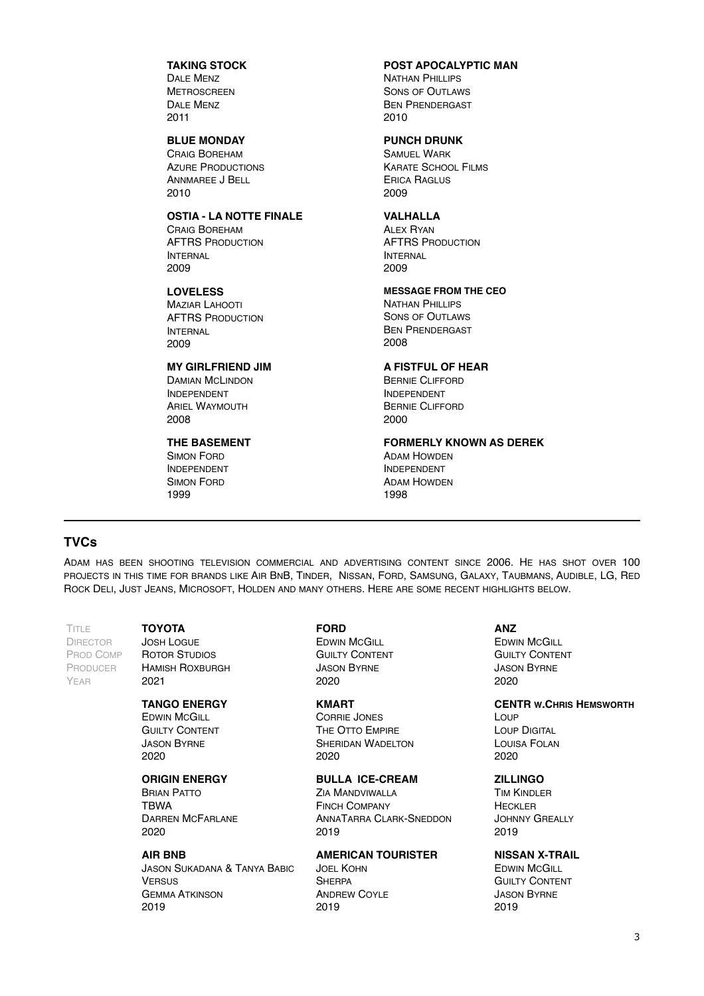## **TAKING STOCK**

DALE MENZ **METROSCREEN** DALE MENZ 2011

## **BLUE MONDAY**

CRAIG BOREHAM **AZURE PRODUCTIONS** ANNMAREE J BELL 2010

## **OSTIA - LA NOTTE FINALE**

CRAIG BOREHAM AFTRS PRODUCTION INTERNAL 2009

#### **LOVELESS**

MAZIAR LAHOOTI AFTRS PRODUCTION INTERNAL 2009

#### **MY GIRLFRIEND JIM**

DAMIAN MCLINDON INDEPENDENT ARIEL WAYMOUTH 2008

#### **THE BASEMENT**

SIMON FORD INDEPENDENT SIMON FORD 1999

## **POST APOCALYPTIC MAN**

NATHAN PHILLIPS SONS OF OUTLAWS BEN PRENDERGAST 2010

## **PUNCH DRUNK**

SAMUEL WARK KARATE SCHOOL FILMS ERICA RAGLUS 2009

## **VALHALLA**

**ALEX RYAN** AFTRS PRODUCTION INTERNAL 2009

## **MESSAGE FROM THE CEO**

NATHAN PHILLIPS SONS OF OUTLAWS BEN PRENDERGAST 2008

## **A FISTFUL OF HEAR**

BERNIE CLIFFORD INDEPENDENT BERNIE CLIFFORD 2000

## **FORMERLY KNOWN AS DEREK**

ADAM HOWDEN INDEPENDENT ADAM HOWDEN 1998

## **TVCs**

ADAM HAS BEEN SHOOTING TELEVISION COMMERCIAL AND ADVERTISING CONTENT SINCE 2006. HE HAS SHOT OVER 100 PROJECTS IN THIS TIME FOR BRANDS LIKE AIR BNB, TINDER, NISSAN, FORD, SAMSUNG, GALAXY, TAUBMANS, AUDIBLE, LG, RED ROCK DELI, JUST JEANS, MICROSOFT, HOLDEN AND MANY OTHERS. HERE ARE SOME RECENT HIGHLIGHTS BELOW.

TITLE DIRECTOR PROD COMP PRODUCER YEAR

**TOYOTA** JOSH LOGUE

ROTOR STUDIOS HAMISH ROXBURGH 2021

#### **TANGO ENERGY**

**EDWIN MCGILL GUILTY CONTENT** JASON BYRNE 2020

## **ORIGIN ENERGY**

BRIAN PATTO TBWA DARREN MCFARLANE 2020

## **AIR BNB**

JASON SUKADANA & TANYA BABIC **VERSUS** GEMMA ATKINSON 2019

#### **FORD**

**EDWIN MCGILL GUILTY CONTENT** JASON BYRNE 2020

## **KMART**

CORRIE JONES THE OTTO EMPIRE SHERIDAN WADELTON 2020

## **BULLA ICE-CREAM**

ZIA MANDVIWALLA FINCH COMPANY ANNATARRA CLARK-SNEDDON 2019

## **AMERICAN TOURISTER**

JOEL KOHN **SHERPA** ANDREW COYLE 2019

**ANZ EDWIN MCGILL** GUILTY CONTENT JASON BYRNE 2020

#### **CENTR W.CHRIS HEMSWORTH**

LOUP LOUP DIGITAL LOUISA FOLAN 2020

#### **ZILLINGO**

TIM KINDLER HECKLER JOHNNY GREALLY 2019

## **NISSAN X-TRAIL**

**EDWIN McGILL GUILTY CONTENT** JASON BYRNE 2019